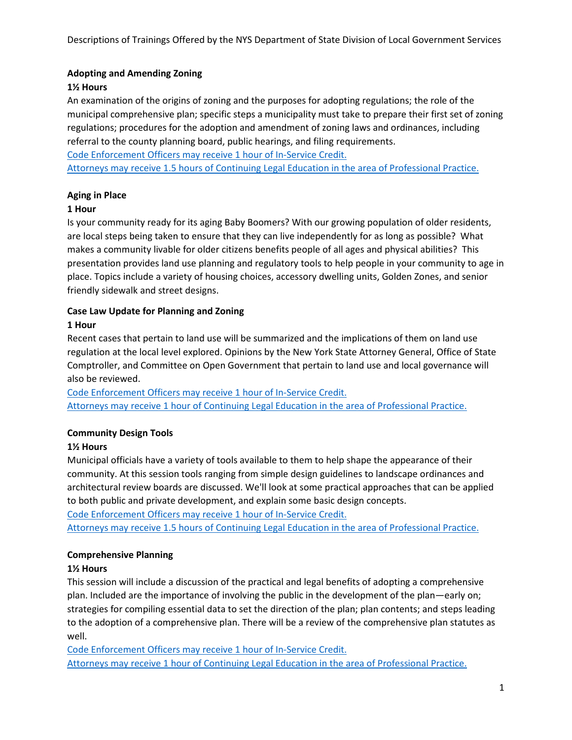# **Adopting and Amending Zoning**

# **1½ Hours**

An examination of the origins of zoning and the purposes for adopting regulations; the role of the municipal comprehensive plan; specific steps a municipality must take to prepare their first set of zoning regulations; procedures for the adoption and amendment of zoning laws and ordinances, including referral to the county planning board, public hearings, and filing requirements.

Code Enforcement Officers may receive 1 hour of In-Service Credit. Attorneys may receive 1.5 hours of Continuing Legal Education in the area of Professional Practice.

# **Aging in Place**

# **1 Hour**

Is your community ready for its aging Baby Boomers? With our growing population of older residents, are local steps being taken to ensure that they can live independently for as long as possible? What makes a community livable for older citizens benefits people of all ages and physical abilities? This presentation provides land use planning and regulatory tools to help people in your community to age in place. Topics include a variety of housing choices, accessory dwelling units, Golden Zones, and senior friendly sidewalk and street designs.

# **Case Law Update for Planning and Zoning**

# **1 Hour**

Recent cases that pertain to land use will be summarized and the implications of them on land use regulation at the local level explored. Opinions by the New York State Attorney General, Office of State Comptroller, and Committee on Open Government that pertain to land use and local governance will also be reviewed.

Code Enforcement Officers may receive 1 hour of In-Service Credit. Attorneys may receive 1 hour of Continuing Legal Education in the area of Professional Practice.

# **Community Design Tools**

# **1½ Hours**

Municipal officials have a variety of tools available to them to help shape the appearance of their community. At this session tools ranging from simple design guidelines to landscape ordinances and architectural review boards are discussed. We'll look at some practical approaches that can be applied to both public and private development, and explain some basic design concepts.

Code Enforcement Officers may receive 1 hour of In-Service Credit.

Attorneys may receive 1.5 hours of Continuing Legal Education in the area of Professional Practice.

# **Comprehensive Planning**

# **1½ Hours**

This session will include a discussion of the practical and legal benefits of adopting a comprehensive plan. Included are the importance of involving the public in the development of the plan—early on; strategies for compiling essential data to set the direction of the plan; plan contents; and steps leading to the adoption of a comprehensive plan. There will be a review of the comprehensive plan statutes as well.

Code Enforcement Officers may receive 1 hour of In-Service Credit. Attorneys may receive 1 hour of Continuing Legal Education in the area of Professional Practice.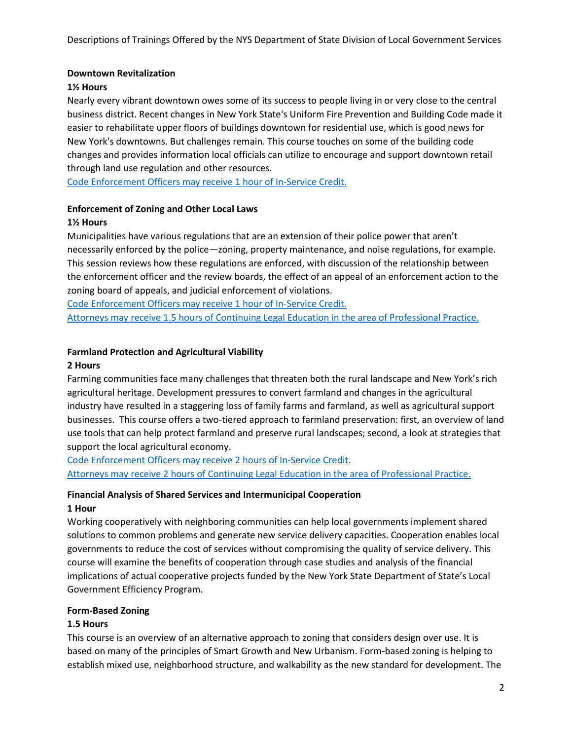#### **Downtown Revitalization**

#### **1½ Hours**

Nearly every vibrant downtown owes some of its success to people living in or very close to the central business district. Recent changes in New York State's Uniform Fire Prevention and Building Code made it easier to rehabilitate upper floors of buildings downtown for residential use, which is good news for New York's downtowns. But challenges remain. This course touches on some of the building code changes and provides information local officials can utilize to encourage and support downtown retail through land use regulation and other resources.

Code Enforcement Officers may receive 1 hour of In-Service Credit.

# **Enforcement of Zoning and Other Local Laws**

#### **1½ Hours**

Municipalities have various regulations that are an extension of their police power that aren't necessarily enforced by the police—zoning, property maintenance, and noise regulations, for example. This session reviews how these regulations are enforced, with discussion of the relationship between the enforcement officer and the review boards, the effect of an appeal of an enforcement action to the zoning board of appeals, and judicial enforcement of violations.

Code Enforcement Officers may receive 1 hour of In-Service Credit.

Attorneys may receive 1.5 hours of Continuing Legal Education in the area of Professional Practice.

### **Farmland Protection and Agricultural Viability**

#### **2 Hours**

Farming communities face many challenges that threaten both the rural landscape and New York's rich agricultural heritage. Development pressures to convert farmland and changes in the agricultural industry have resulted in a staggering loss of family farms and farmland, as well as agricultural support businesses. This course offers a two-tiered approach to farmland preservation: first, an overview of land use tools that can help protect farmland and preserve rural landscapes; second, a look at strategies that support the local agricultural economy.

Code Enforcement Officers may receive 2 hours of In-Service Credit.

Attorneys may receive 2 hours of Continuing Legal Education in the area of Professional Practice.

#### **Financial Analysis of Shared Services and Intermunicipal Cooperation 1 Hour**

Working cooperatively with neighboring communities can help local governments implement shared solutions to common problems and generate new service delivery capacities. Cooperation enables local governments to reduce the cost of services without compromising the quality of service delivery. This course will examine the benefits of cooperation through case studies and analysis of the financial implications of actual cooperative projects funded by the New York State Department of State's Local Government Efficiency Program.

#### **Form-Based Zoning**

#### **1.5 Hours**

This course is an overview of an alternative approach to zoning that considers design over use. It is based on many of the principles of Smart Growth and New Urbanism. Form-based zoning is helping to establish mixed use, neighborhood structure, and walkability as the new standard for development. The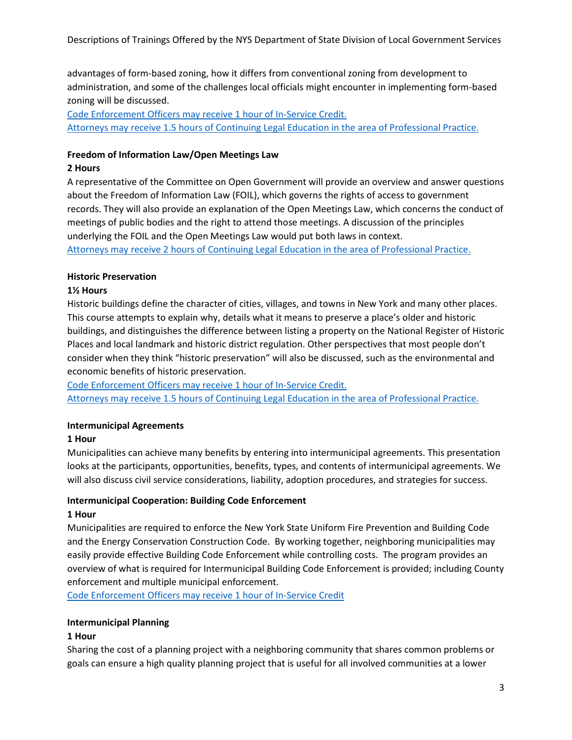advantages of form-based zoning, how it differs from conventional zoning from development to administration, and some of the challenges local officials might encounter in implementing form-based zoning will be discussed.

Code Enforcement Officers may receive 1 hour of In-Service Credit. Attorneys may receive 1.5 hours of Continuing Legal Education in the area of Professional Practice.

### **Freedom of Information Law/Open Meetings Law**

### **2 Hours**

A representative of the Committee on Open Government will provide an overview and answer questions about the Freedom of Information Law (FOIL), which governs the rights of access to government records. They will also provide an explanation of the Open Meetings Law, which concerns the conduct of meetings of public bodies and the right to attend those meetings. A discussion of the principles underlying the FOIL and the Open Meetings Law would put both laws in context.

Attorneys may receive 2 hours of Continuing Legal Education in the area of Professional Practice.

# **Historic Preservation**

# **1½ Hours**

Historic buildings define the character of cities, villages, and towns in New York and many other places. This course attempts to explain why, details what it means to preserve a place's older and historic buildings, and distinguishes the difference between listing a property on the National Register of Historic Places and local landmark and historic district regulation. Other perspectives that most people don't consider when they think "historic preservation" will also be discussed, such as the environmental and economic benefits of historic preservation.

Code Enforcement Officers may receive 1 hour of In-Service Credit. Attorneys may receive 1.5 hours of Continuing Legal Education in the area of Professional Practice.

# **Intermunicipal Agreements**

# **1 Hour**

Municipalities can achieve many benefits by entering into intermunicipal agreements. This presentation looks at the participants, opportunities, benefits, types, and contents of intermunicipal agreements. We will also discuss civil service considerations, liability, adoption procedures, and strategies for success.

# **Intermunicipal Cooperation: Building Code Enforcement**

# **1 Hour**

Municipalities are required to enforce the New York State Uniform Fire Prevention and Building Code and the Energy Conservation Construction Code. By working together, neighboring municipalities may easily provide effective Building Code Enforcement while controlling costs. The program provides an overview of what is required for Intermunicipal Building Code Enforcement is provided; including County enforcement and multiple municipal enforcement.

Code Enforcement Officers may receive 1 hour of In-Service Credit

# **Intermunicipal Planning**

# **1 Hour**

Sharing the cost of a planning project with a neighboring community that shares common problems or goals can ensure a high quality planning project that is useful for all involved communities at a lower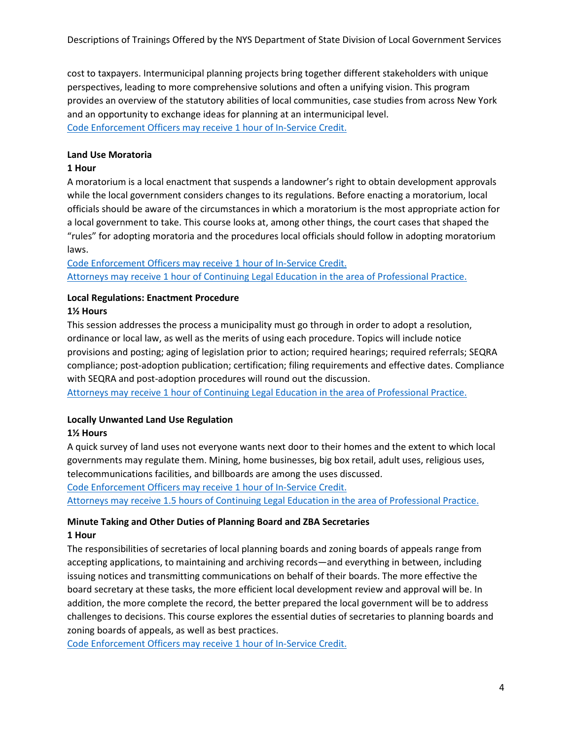cost to taxpayers. Intermunicipal planning projects bring together different stakeholders with unique perspectives, leading to more comprehensive solutions and often a unifying vision. This program provides an overview of the statutory abilities of local communities, case studies from across New York and an opportunity to exchange ideas for planning at an intermunicipal level. Code Enforcement Officers may receive 1 hour of In-Service Credit.

#### **Land Use Moratoria**

#### **1 Hour**

A moratorium is a local enactment that suspends a landowner's right to obtain development approvals while the local government considers changes to its regulations. Before enacting a moratorium, local officials should be aware of the circumstances in which a moratorium is the most appropriate action for a local government to take. This course looks at, among other things, the court cases that shaped the "rules" for adopting moratoria and the procedures local officials should follow in adopting moratorium laws.

Code Enforcement Officers may receive 1 hour of In-Service Credit. Attorneys may receive 1 hour of Continuing Legal Education in the area of Professional Practice.

# **Local Regulations: Enactment Procedure**

#### **1½ Hours**

This session addresses the process a municipality must go through in order to adopt a resolution, ordinance or local law, as well as the merits of using each procedure. Topics will include notice provisions and posting; aging of legislation prior to action; required hearings; required referrals; SEQRA compliance; post-adoption publication; certification; filing requirements and effective dates. Compliance with SEQRA and post-adoption procedures will round out the discussion.

Attorneys may receive 1 hour of Continuing Legal Education in the area of Professional Practice.

#### **Locally Unwanted Land Use Regulation**

#### **1½ Hours**

A quick survey of land uses not everyone wants next door to their homes and the extent to which local governments may regulate them. Mining, home businesses, big box retail, adult uses, religious uses, telecommunications facilities, and billboards are among the uses discussed.

Code Enforcement Officers may receive 1 hour of In-Service Credit.

Attorneys may receive 1.5 hours of Continuing Legal Education in the area of Professional Practice.

### **Minute Taking and Other Duties of Planning Board and ZBA Secretaries 1 Hour**

The responsibilities of secretaries of local planning boards and zoning boards of appeals range from accepting applications, to maintaining and archiving records—and everything in between, including issuing notices and transmitting communications on behalf of their boards. The more effective the board secretary at these tasks, the more efficient local development review and approval will be. In addition, the more complete the record, the better prepared the local government will be to address challenges to decisions. This course explores the essential duties of secretaries to planning boards and zoning boards of appeals, as well as best practices.

Code Enforcement Officers may receive 1 hour of In-Service Credit.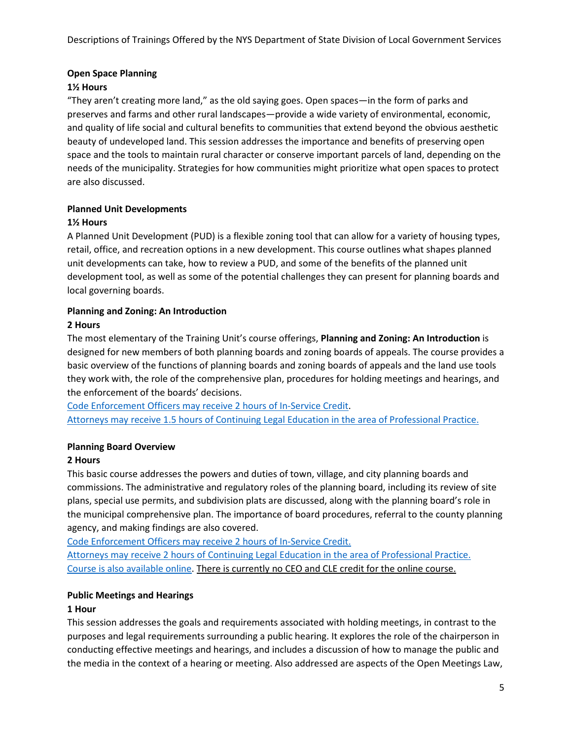### **Open Space Planning**

### **1½ Hours**

"They aren't creating more land," as the old saying goes. Open spaces—in the form of parks and preserves and farms and other rural landscapes—provide a wide variety of environmental, economic, and quality of life social and cultural benefits to communities that extend beyond the obvious aesthetic beauty of undeveloped land. This session addresses the importance and benefits of preserving open space and the tools to maintain rural character or conserve important parcels of land, depending on the needs of the municipality. Strategies for how communities might prioritize what open spaces to protect are also discussed.

### **Planned Unit Developments**

### **1½ Hours**

A Planned Unit Development (PUD) is a flexible zoning tool that can allow for a variety of housing types, retail, office, and recreation options in a new development. This course outlines what shapes planned unit developments can take, how to review a PUD, and some of the benefits of the planned unit development tool, as well as some of the potential challenges they can present for planning boards and local governing boards.

# **Planning and Zoning: An Introduction**

### **2 Hours**

The most elementary of the Training Unit's course offerings, **Planning and Zoning: An Introduction** is designed for new members of both planning boards and zoning boards of appeals. The course provides a basic overview of the functions of planning boards and zoning boards of appeals and the land use tools they work with, the role of the comprehensive plan, procedures for holding meetings and hearings, and the enforcement of the boards' decisions.

Code Enforcement Officers may receive 2 hours of In-Service Credit. Attorneys may receive 1.5 hours of Continuing Legal Education in the area of Professional Practice.

# **Planning Board Overview**

# **2 Hours**

This basic course addresses the powers and duties of town, village, and city planning boards and commissions. The administrative and regulatory roles of the planning board, including its review of site plans, special use permits, and subdivision plats are discussed, along with the planning board's role in the municipal comprehensive plan. The importance of board procedures, referral to the county planning agency, and making findings are also covered.

Code Enforcement Officers may receive 2 hours of In-Service Credit.

Attorneys may receive 2 hours of Continuing Legal Education in the area of Professional Practice. Course is also available online. There is currently no CEO and CLE credit for the online course.

# **Public Meetings and Hearings**

#### **1 Hour**

This session addresses the goals and requirements associated with holding meetings, in contrast to the purposes and legal requirements surrounding a public hearing. It explores the role of the chairperson in conducting effective meetings and hearings, and includes a discussion of how to manage the public and the media in the context of a hearing or meeting. Also addressed are aspects of the Open Meetings Law,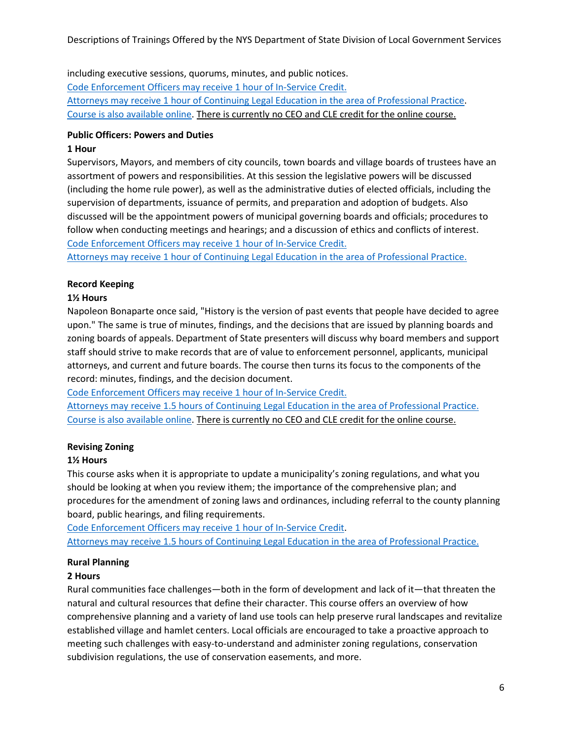including executive sessions, quorums, minutes, and public notices. Code Enforcement Officers may receive 1 hour of In-Service Credit. Attorneys may receive 1 hour of Continuing Legal Education in the area of Professional Practice. Course is also available online. There is currently no CEO and CLE credit for the online course.

### **Public Officers: Powers and Duties**

#### **1 Hour**

Supervisors, Mayors, and members of city councils, town boards and village boards of trustees have an assortment of powers and responsibilities. At this session the legislative powers will be discussed (including the home rule power), as well as the administrative duties of elected officials, including the supervision of departments, issuance of permits, and preparation and adoption of budgets. Also discussed will be the appointment powers of municipal governing boards and officials; procedures to follow when conducting meetings and hearings; and a discussion of ethics and conflicts of interest. Code Enforcement Officers may receive 1 hour of In-Service Credit.

Attorneys may receive 1 hour of Continuing Legal Education in the area of Professional Practice.

### **Record Keeping**

### **1½ Hours**

Napoleon Bonaparte once said, "History is the version of past events that people have decided to agree upon." The same is true of minutes, findings, and the decisions that are issued by planning boards and zoning boards of appeals. Department of State presenters will discuss why board members and support staff should strive to make records that are of value to enforcement personnel, applicants, municipal attorneys, and current and future boards. The course then turns its focus to the components of the record: minutes, findings, and the decision document.

Code Enforcement Officers may receive 1 hour of In-Service Credit.

Attorneys may receive 1.5 hours of Continuing Legal Education in the area of Professional Practice. Course is also available online. There is currently no CEO and CLE credit for the online course.

# **Revising Zoning**

# **1½ Hours**

This course asks when it is appropriate to update a municipality's zoning regulations, and what you should be looking at when you review ithem; the importance of the comprehensive plan; and procedures for the amendment of zoning laws and ordinances, including referral to the county planning board, public hearings, and filing requirements.

Code Enforcement Officers may receive 1 hour of In-Service Credit. Attorneys may receive 1.5 hours of Continuing Legal Education in the area of Professional Practice.

#### **Rural Planning**

#### **2 Hours**

Rural communities face challenges—both in the form of development and lack of it—that threaten the natural and cultural resources that define their character. This course offers an overview of how comprehensive planning and a variety of land use tools can help preserve rural landscapes and revitalize established village and hamlet centers. Local officials are encouraged to take a proactive approach to meeting such challenges with easy-to-understand and administer zoning regulations, conservation subdivision regulations, the use of conservation easements, and more.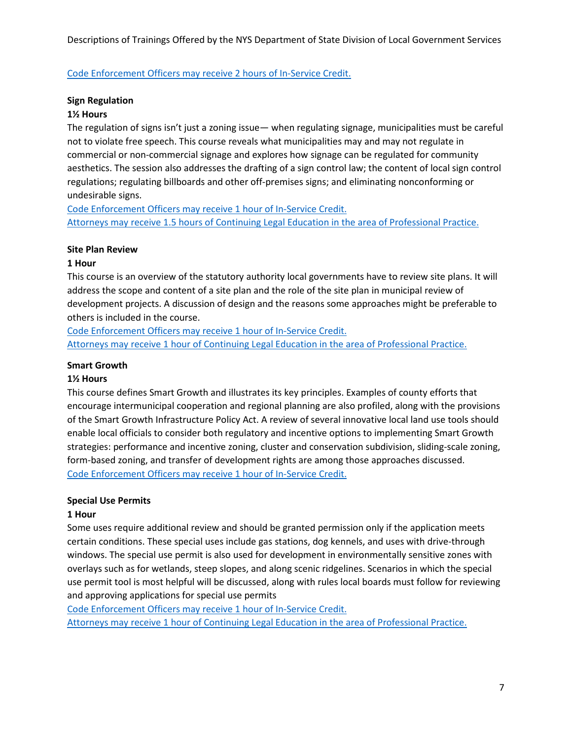Code Enforcement Officers may receive 2 hours of In-Service Credit.

### **Sign Regulation**

#### **1½ Hours**

The regulation of signs isn't just a zoning issue— when regulating signage, municipalities must be careful not to violate free speech. This course reveals what municipalities may and may not regulate in commercial or non-commercial signage and explores how signage can be regulated for community aesthetics. The session also addresses the drafting of a sign control law; the content of local sign control regulations; regulating billboards and other off-premises signs; and eliminating nonconforming or undesirable signs.

Code Enforcement Officers may receive 1 hour of In-Service Credit. Attorneys may receive 1.5 hours of Continuing Legal Education in the area of Professional Practice.

### **Site Plan Review**

### **1 Hour**

This course is an overview of the statutory authority local governments have to review site plans. It will address the scope and content of a site plan and the role of the site plan in municipal review of development projects. A discussion of design and the reasons some approaches might be preferable to others is included in the course.

Code Enforcement Officers may receive 1 hour of In-Service Credit. Attorneys may receive 1 hour of Continuing Legal Education in the area of Professional Practice.

### **Smart Growth**

#### **1½ Hours**

This course defines Smart Growth and illustrates its key principles. Examples of county efforts that encourage intermunicipal cooperation and regional planning are also profiled, along with the provisions of the Smart Growth Infrastructure Policy Act. A review of several innovative local land use tools should enable local officials to consider both regulatory and incentive options to implementing Smart Growth strategies: performance and incentive zoning, cluster and conservation subdivision, sliding-scale zoning, form-based zoning, and transfer of development rights are among those approaches discussed. Code Enforcement Officers may receive 1 hour of In-Service Credit.

# **Special Use Permits**

# **1 Hour**

Some uses require additional review and should be granted permission only if the application meets certain conditions. These special uses include gas stations, dog kennels, and uses with drive-through windows. The special use permit is also used for development in environmentally sensitive zones with overlays such as for wetlands, steep slopes, and along scenic ridgelines. Scenarios in which the special use permit tool is most helpful will be discussed, along with rules local boards must follow for reviewing and approving applications for special use permits

Code Enforcement Officers may receive 1 hour of In-Service Credit.

Attorneys may receive 1 hour of Continuing Legal Education in the area of Professional Practice.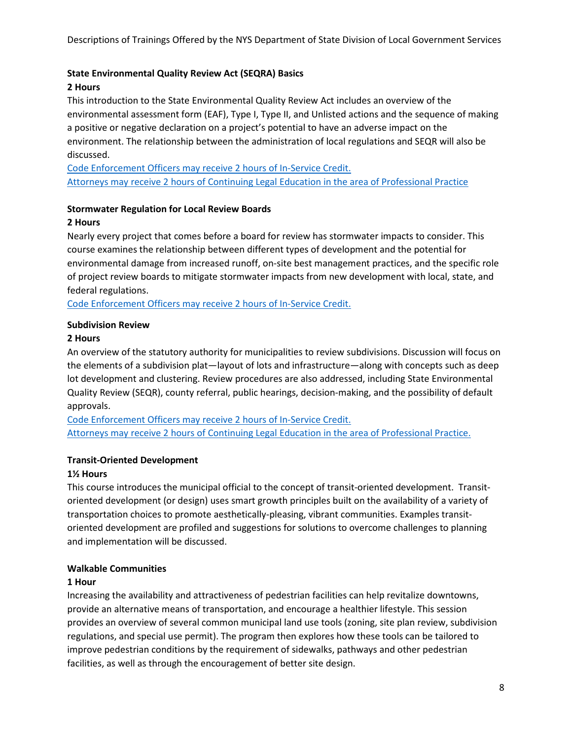### **State Environmental Quality Review Act (SEQRA) Basics**

### **2 Hours**

This introduction to the State Environmental Quality Review Act includes an overview of the environmental assessment form (EAF), Type I, Type II, and Unlisted actions and the sequence of making a positive or negative declaration on a project's potential to have an adverse impact on the environment. The relationship between the administration of local regulations and SEQR will also be discussed.

Code Enforcement Officers may receive 2 hours of In-Service Credit. Attorneys may receive 2 hours of Continuing Legal Education in the area of Professional Practice

#### **Stormwater Regulation for Local Review Boards**

#### **2 Hours**

Nearly every project that comes before a board for review has stormwater impacts to consider. This course examines the relationship between different types of development and the potential for environmental damage from increased runoff, on-site best management practices, and the specific role of project review boards to mitigate stormwater impacts from new development with local, state, and federal regulations.

Code Enforcement Officers may receive 2 hours of In-Service Credit.

### **Subdivision Review**

### **2 Hours**

An overview of the statutory authority for municipalities to review subdivisions. Discussion will focus on the elements of a subdivision plat—layout of lots and infrastructure—along with concepts such as deep lot development and clustering. Review procedures are also addressed, including State Environmental Quality Review (SEQR), county referral, public hearings, decision-making, and the possibility of default approvals.

Code Enforcement Officers may receive 2 hours of In-Service Credit. Attorneys may receive 2 hours of Continuing Legal Education in the area of Professional Practice.

# **Transit-Oriented Development**

#### **1½ Hours**

This course introduces the municipal official to the concept of transit-oriented development. Transitoriented development (or design) uses smart growth principles built on the availability of a variety of transportation choices to promote aesthetically-pleasing, vibrant communities. Examples transitoriented development are profiled and suggestions for solutions to overcome challenges to planning and implementation will be discussed.

#### **Walkable Communities**

#### **1 Hour**

Increasing the availability and attractiveness of pedestrian facilities can help revitalize downtowns, provide an alternative means of transportation, and encourage a healthier lifestyle. This session provides an overview of several common municipal land use tools (zoning, site plan review, subdivision regulations, and special use permit). The program then explores how these tools can be tailored to improve pedestrian conditions by the requirement of sidewalks, pathways and other pedestrian facilities, as well as through the encouragement of better site design.